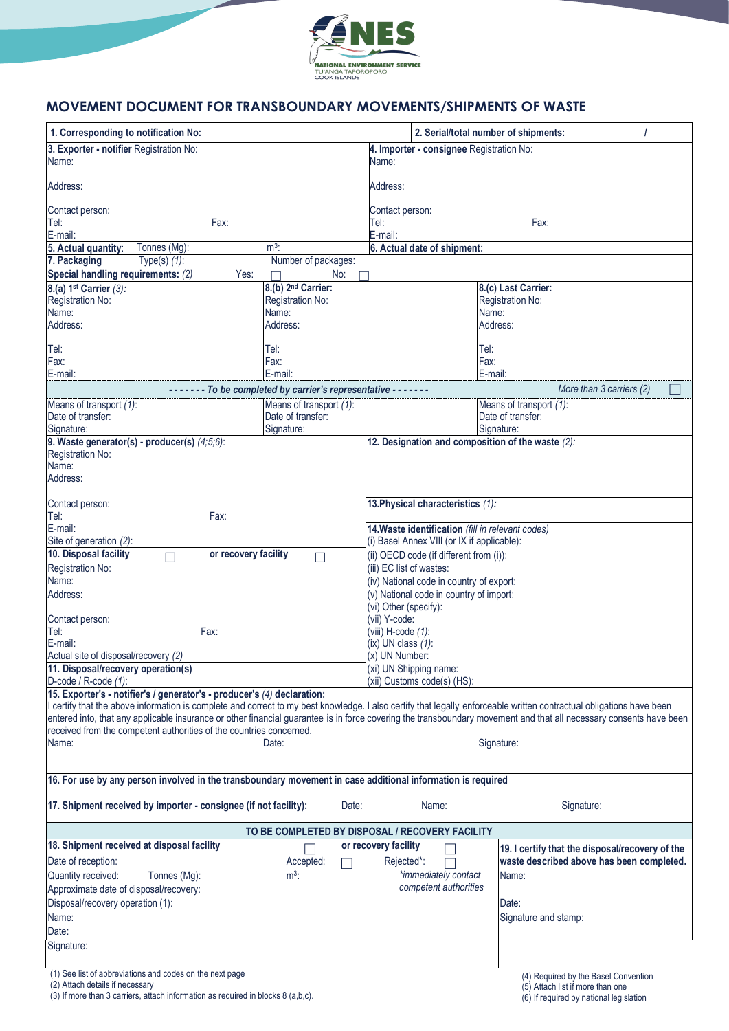

## **MOVEMENT DOCUMENT FOR TRANSBOUNDARY MOVEMENTS/SHIPMENTS OF WASTE**

| 1. Corresponding to notification No:                                                                                                                                                                                                                                                                                                       |                                                                                   | 2. Serial/total number of shipments:              |                                                 |  |  |
|--------------------------------------------------------------------------------------------------------------------------------------------------------------------------------------------------------------------------------------------------------------------------------------------------------------------------------------------|-----------------------------------------------------------------------------------|---------------------------------------------------|-------------------------------------------------|--|--|
| 3. Exporter - notifier Registration No:                                                                                                                                                                                                                                                                                                    |                                                                                   | 4. Importer - consignee Registration No:          |                                                 |  |  |
| Name:                                                                                                                                                                                                                                                                                                                                      |                                                                                   | Name:                                             |                                                 |  |  |
| Address:                                                                                                                                                                                                                                                                                                                                   |                                                                                   | Address:                                          |                                                 |  |  |
| Contact person:                                                                                                                                                                                                                                                                                                                            |                                                                                   | Contact person:                                   |                                                 |  |  |
| Tel:<br>Fax:                                                                                                                                                                                                                                                                                                                               |                                                                                   | Tel:                                              | Fax:                                            |  |  |
| E-mail:                                                                                                                                                                                                                                                                                                                                    |                                                                                   | E-mail:                                           |                                                 |  |  |
| 5. Actual quantity:<br>Tonnes (Mg):                                                                                                                                                                                                                                                                                                        | $m^3$ :                                                                           | 6. Actual date of shipment:                       |                                                 |  |  |
| Type(s) $(1)$ :<br>7. Packaging                                                                                                                                                                                                                                                                                                            | Number of packages:                                                               |                                                   |                                                 |  |  |
| Special handling requirements: (2)<br>Yes:                                                                                                                                                                                                                                                                                                 | No:                                                                               |                                                   |                                                 |  |  |
| 8.(a) 1st Carrier (3):<br>Registration No:                                                                                                                                                                                                                                                                                                 | 8.(b) 2 <sup>nd</sup> Carrier:<br>Registration No:                                |                                                   | 8.(c) Last Carrier:<br>Registration No:         |  |  |
| Name:                                                                                                                                                                                                                                                                                                                                      | Name:                                                                             |                                                   | Name:                                           |  |  |
| Address:                                                                                                                                                                                                                                                                                                                                   | Address:                                                                          |                                                   | Address:                                        |  |  |
|                                                                                                                                                                                                                                                                                                                                            |                                                                                   |                                                   |                                                 |  |  |
| Tel:                                                                                                                                                                                                                                                                                                                                       | Tel:                                                                              | Tel:                                              |                                                 |  |  |
| Fax:<br>E-mail:                                                                                                                                                                                                                                                                                                                            | Fax:<br>E-mail:                                                                   | Fax:                                              | E-mail:                                         |  |  |
|                                                                                                                                                                                                                                                                                                                                            |                                                                                   |                                                   | More than 3 carriers (2)                        |  |  |
| Means of transport (1):                                                                                                                                                                                                                                                                                                                    | ------- To be completed by carrier's representative --<br>Means of transport (1): |                                                   |                                                 |  |  |
| Date of transfer:                                                                                                                                                                                                                                                                                                                          | Date of transfer:                                                                 |                                                   | Means of transport (1):<br>Date of transfer:    |  |  |
| Signature:                                                                                                                                                                                                                                                                                                                                 | Signature:                                                                        |                                                   | Signature:                                      |  |  |
| 9. Waste generator(s) - producer(s) (4;5;6):                                                                                                                                                                                                                                                                                               |                                                                                   | 12. Designation and composition of the waste (2): |                                                 |  |  |
| Registration No:                                                                                                                                                                                                                                                                                                                           |                                                                                   |                                                   |                                                 |  |  |
| Name:                                                                                                                                                                                                                                                                                                                                      |                                                                                   |                                                   |                                                 |  |  |
| Address:                                                                                                                                                                                                                                                                                                                                   |                                                                                   |                                                   |                                                 |  |  |
| Contact person:                                                                                                                                                                                                                                                                                                                            |                                                                                   | 13. Physical characteristics (1):                 |                                                 |  |  |
| Tel:<br>Fax:                                                                                                                                                                                                                                                                                                                               |                                                                                   |                                                   |                                                 |  |  |
| E-mail:                                                                                                                                                                                                                                                                                                                                    |                                                                                   | 14. Waste identification (fill in relevant codes) |                                                 |  |  |
| Site of generation (2):                                                                                                                                                                                                                                                                                                                    |                                                                                   | (i) Basel Annex VIII (or IX if applicable):       |                                                 |  |  |
| 10. Disposal facility<br>or recovery facility                                                                                                                                                                                                                                                                                              | П                                                                                 | (ii) OECD code (if different from (i)):           |                                                 |  |  |
| Registration No:                                                                                                                                                                                                                                                                                                                           |                                                                                   | (iii) EC list of wastes:                          |                                                 |  |  |
| Name:                                                                                                                                                                                                                                                                                                                                      |                                                                                   | (iv) National code in country of export:          |                                                 |  |  |
| Address:                                                                                                                                                                                                                                                                                                                                   |                                                                                   | (v) National code in country of import:           |                                                 |  |  |
| Contact person:                                                                                                                                                                                                                                                                                                                            |                                                                                   | (vi) Other (specify):                             |                                                 |  |  |
| Tel:<br>Fax:                                                                                                                                                                                                                                                                                                                               |                                                                                   | (vii) Y-code:<br>(viii) H-code $(1)$ :            |                                                 |  |  |
| E-mail:                                                                                                                                                                                                                                                                                                                                    |                                                                                   | $(ix)$ UN class $(1)$ :                           |                                                 |  |  |
| Actual site of disposal/recovery (2)                                                                                                                                                                                                                                                                                                       |                                                                                   | (x) UN Number:                                    |                                                 |  |  |
| 11. Disposal/recovery operation(s)                                                                                                                                                                                                                                                                                                         |                                                                                   | (xi) UN Shipping name:                            |                                                 |  |  |
| D-code / R-code (1):<br>15. Exporter's - notifier's / generator's - producer's (4) declaration:                                                                                                                                                                                                                                            |                                                                                   | (xii) Customs code(s) (HS):                       |                                                 |  |  |
|                                                                                                                                                                                                                                                                                                                                            |                                                                                   |                                                   |                                                 |  |  |
| I certify that the above information is complete and correct to my best knowledge. I also certify that legally enforceable written contractual obligations have been<br>entered into, that any applicable insurance or other financial guarantee is in force covering the transboundary movement and that all necessary consents have been |                                                                                   |                                                   |                                                 |  |  |
| received from the competent authorities of the countries concerned.                                                                                                                                                                                                                                                                        |                                                                                   |                                                   |                                                 |  |  |
| Name:                                                                                                                                                                                                                                                                                                                                      | Date:                                                                             | Signature:                                        |                                                 |  |  |
|                                                                                                                                                                                                                                                                                                                                            |                                                                                   |                                                   |                                                 |  |  |
| 16. For use by any person involved in the transboundary movement in case additional information is required                                                                                                                                                                                                                                |                                                                                   |                                                   |                                                 |  |  |
| 17. Shipment received by importer - consignee (if not facility):                                                                                                                                                                                                                                                                           | Date:                                                                             | Name:                                             | Signature:                                      |  |  |
|                                                                                                                                                                                                                                                                                                                                            |                                                                                   | TO BE COMPLETED BY DISPOSAL / RECOVERY FACILITY   |                                                 |  |  |
| 18. Shipment received at disposal facility                                                                                                                                                                                                                                                                                                 |                                                                                   | or recovery facility                              | 19. I certify that the disposal/recovery of the |  |  |
| Date of reception:                                                                                                                                                                                                                                                                                                                         | Accepted:                                                                         | Rejected*:                                        | waste described above has been completed.       |  |  |
| Quantity received:<br>Tonnes (Mg):                                                                                                                                                                                                                                                                                                         | $m^3$ :                                                                           | *immediately contact                              | Name:                                           |  |  |
| Approximate date of disposal/recovery:                                                                                                                                                                                                                                                                                                     |                                                                                   | competent authorities                             |                                                 |  |  |
| Disposal/recovery operation (1):                                                                                                                                                                                                                                                                                                           |                                                                                   |                                                   | Date:                                           |  |  |
| Name:                                                                                                                                                                                                                                                                                                                                      |                                                                                   |                                                   | Signature and stamp:                            |  |  |
| Date:                                                                                                                                                                                                                                                                                                                                      |                                                                                   |                                                   |                                                 |  |  |
| Signature:                                                                                                                                                                                                                                                                                                                                 |                                                                                   |                                                   |                                                 |  |  |
|                                                                                                                                                                                                                                                                                                                                            |                                                                                   |                                                   |                                                 |  |  |
| (1) See list of abbreviations and codes on the next page                                                                                                                                                                                                                                                                                   |                                                                                   |                                                   | (4) Required by the Basel Convention            |  |  |
| (2) Attach details if necessary<br>(3) If more than 3 carriers, attach information as required in blocks 8 (a,b,c).                                                                                                                                                                                                                        |                                                                                   |                                                   | (5) Attach list if more than one                |  |  |
|                                                                                                                                                                                                                                                                                                                                            |                                                                                   |                                                   | (6) If required by national legislation         |  |  |